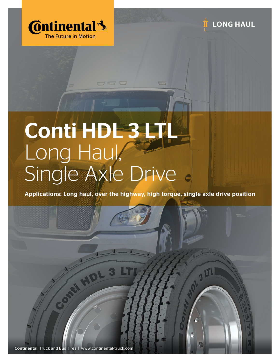



# Conti HDL 3 LTL Long Haul, Single Axle Drive

0000

Applications: Long haul, over the highway, high torque, single axle drive position

Continental Truck and Bus Tires | www.continental-truck.com